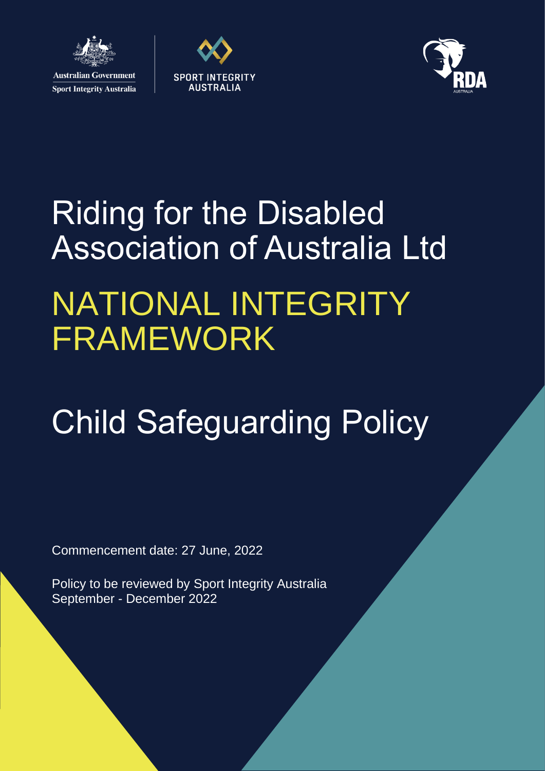

**Sport Integrity Australia** 





# Riding for the Disabled Association of Australia Ltd NATIONAL INTEGRITY FRAMEWORK

# Child Safeguarding Policy

Commencement date: 27 June, 2022

Policy to be reviewed by Sport Integrity Australia September - December 2022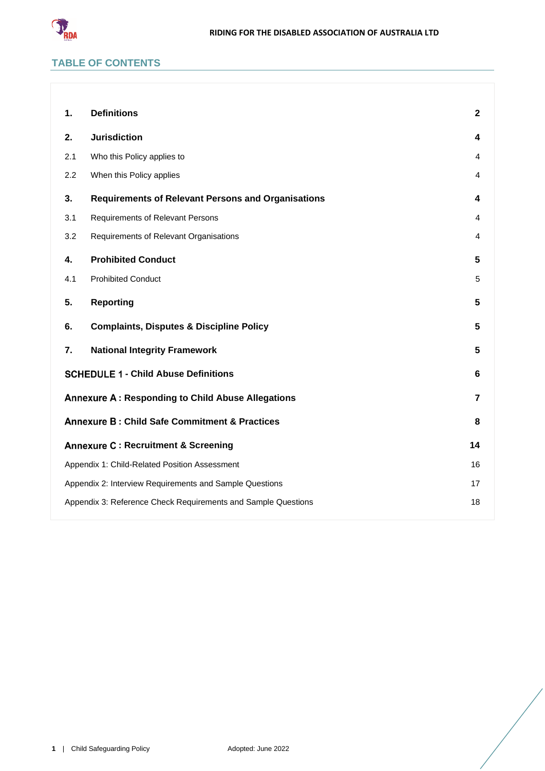

# **TABLE OF CONTENTS**

| 1.                                                            | <b>Definitions</b>                                        | $\mathbf{2}$   |
|---------------------------------------------------------------|-----------------------------------------------------------|----------------|
| 2.                                                            | <b>Jurisdiction</b>                                       | 4              |
| 2.1                                                           | Who this Policy applies to                                | 4              |
| 2.2                                                           | When this Policy applies                                  | 4              |
| 3.                                                            | <b>Requirements of Relevant Persons and Organisations</b> | 4              |
| 3.1                                                           | Requirements of Relevant Persons                          | 4              |
| 3.2                                                           | Requirements of Relevant Organisations                    | 4              |
| 4.                                                            | <b>Prohibited Conduct</b>                                 | 5              |
| 4.1                                                           | <b>Prohibited Conduct</b>                                 | 5              |
| 5.                                                            | <b>Reporting</b>                                          | 5              |
| 6.                                                            | <b>Complaints, Disputes &amp; Discipline Policy</b>       | 5              |
| 7.                                                            | <b>National Integrity Framework</b>                       | 5              |
| <b>SCHEDULE 1 - Child Abuse Definitions</b>                   |                                                           | 6              |
| <b>Annexure A: Responding to Child Abuse Allegations</b>      |                                                           | $\overline{7}$ |
| <b>Annexure B: Child Safe Commitment &amp; Practices</b>      |                                                           | 8              |
|                                                               | <b>Annexure C: Recruitment &amp; Screening</b>            | 14             |
| Appendix 1: Child-Related Position Assessment                 |                                                           | 16             |
| Appendix 2: Interview Requirements and Sample Questions       |                                                           | 17             |
| Appendix 3: Reference Check Requirements and Sample Questions |                                                           | 18             |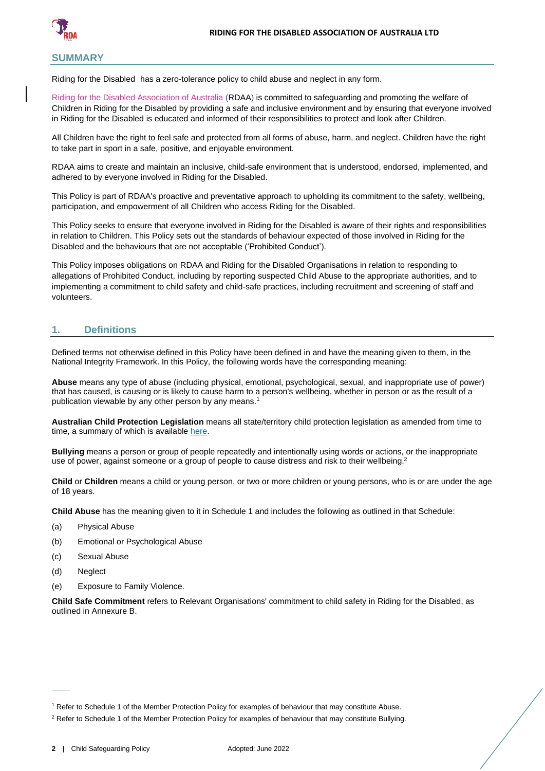

### **SUMMARY**

Riding for the Disabled) has a zero-tolerance policy to child abuse and neglect in any form.

Riding for the Disabled Association of Australia (RDAA) is committed to safeguarding and promoting the welfare of Children in Riding for the Disabled by providing a safe and inclusive environment and by ensuring that everyone involved in Riding for the Disabled is educated and informed of their responsibilities to protect and look after Children.

All Children have the right to feel safe and protected from all forms of abuse, harm, and neglect. Children have the right to take part in sport in a safe, positive, and enjoyable environment.

RDAA aims to create and maintain an inclusive, child-safe environment that is understood, endorsed, implemented, and adhered to by everyone involved in Riding for the Disabled.

This Policy is part of RDAA's proactive and preventative approach to upholding its commitment to the safety, wellbeing, participation, and empowerment of all Children who access Riding for the Disabled.

This Policy seeks to ensure that everyone involved in Riding for the Disabled is aware of their rights and responsibilities in relation to Children. This Policy sets out the standards of behaviour expected of those involved in Riding for the Disabled and the behaviours that are not acceptable ('Prohibited Conduct').

This Policy imposes obligations on RDAA and Riding for the Disabled Organisations in relation to responding to allegations of Prohibited Conduct, including by reporting suspected Child Abuse to the appropriate authorities, and to implementing a commitment to child safety and child-safe practices, including recruitment and screening of staff and volunteers.

# <span id="page-2-0"></span>**1. Definitions**

Defined terms not otherwise defined in this Policy have been defined in and have the meaning given to them, in the National Integrity Framework. In this Policy, the following words have the corresponding meaning:

**Abuse** means any type of abuse (including physical, emotional, psychological, sexual, and inappropriate use of power) that has caused, is causing or is likely to cause harm to a person's wellbeing, whether in person or as the result of a publication viewable by any other person by any means.<sup>1</sup>

**Australian Child Protection Legislation** means all state/territory child protection legislation as amended from time to time, a summary of which is available [here.](https://aifs.gov.au/cfca/publications/australian-child-protection-legislation)

**Bullying** means a person or group of people repeatedly and intentionally using words or actions, or the inappropriate use of power, against someone or a group of people to cause distress and risk to their wellbeing.<sup>2</sup>

**Child** or **Children** means a child or young person, or two or more children or young persons, who is or are under the age of 18 years.

**Child Abuse** has the meaning given to it in Schedule 1 and includes the following as outlined in that Schedule:

- (a) Physical Abuse
- (b) Emotional or Psychological Abuse
- (c) Sexual Abuse
- (d) Neglect

 $\overline{\phantom{a}}$ 

(e) Exposure to Family Violence.

**Child Safe Commitment** refers to Relevant Organisations' commitment to child safety in Riding for the Disabled, as outlined in Annexure B.

<sup>1</sup> Refer to Schedule 1 of the Member Protection Policy for examples of behaviour that may constitute Abuse.

<sup>&</sup>lt;sup>2</sup> Refer to Schedule 1 of the Member Protection Policy for examples of behaviour that may constitute Bullying.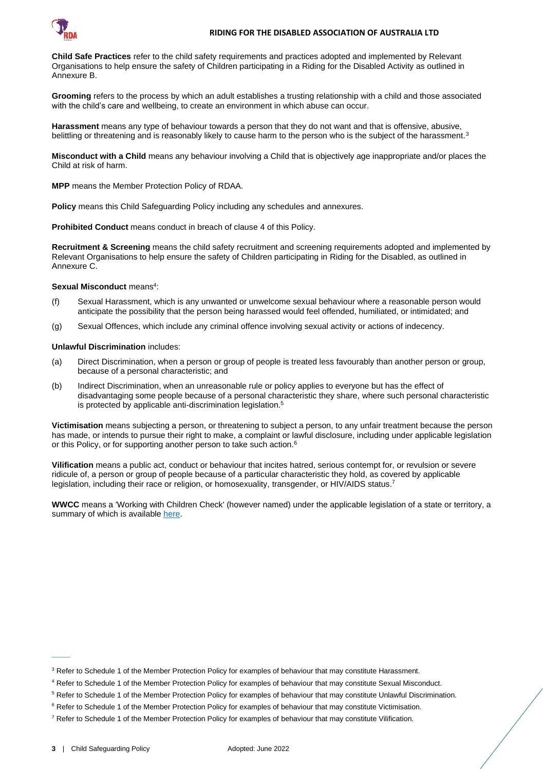

**Child Safe Practices** refer to the child safety requirements and practices adopted and implemented by Relevant Organisations to help ensure the safety of Children participating in a Riding for the Disabled Activity as outlined in Annexure B.

**Grooming** refers to the process by which an adult establishes a trusting relationship with a child and those associated with the child's care and [wellbeing,](https://www.kidspot.com.au/lifestyle/entertainment/celebrity-news/blue-wiggle-says-he-caught-viral-meningitis-from-kids-at-concerts/news-story/57c5b6c145dc8eb7e8e278da61653ae1) to create an environment in which abuse can occur.

**Harassment** means any type of behaviour towards a person that they do not want and that is offensive, abusive, belittling or threatening and is reasonably likely to cause harm to the person who is the subject of the harassment.<sup>3</sup>

**Misconduct with a Child** means any behaviour involving a Child that is objectively age inappropriate and/or places the Child at risk of harm.

**MPP** means the Member Protection Policy of RDAA.

**Policy** means this Child Safeguarding Policy including any schedules and annexures.

**Prohibited Conduct** means conduct in breach of clause [4](#page-5-0) of this Policy.

**Recruitment & Screening** means the child safety recruitment and screening requirements adopted and implemented by Relevant Organisations to help ensure the safety of Children participating in Riding for the Disabled, as outlined in Annexure C.

#### Sexual Misconduct means<sup>4</sup>:

- (f) Sexual Harassment, which is any unwanted or unwelcome sexual behaviour where a reasonable person would anticipate the possibility that the person being harassed would feel offended, humiliated, or intimidated; and
- (g) Sexual Offences, which include any criminal offence involving sexual activity or actions of indecency.

#### **Unlawful Discrimination** includes:

- (a) Direct Discrimination, when a person or group of people is treated less favourably than another person or group, because of a personal characteristic; and
- (b) Indirect Discrimination, when an unreasonable rule or policy applies to everyone but has the effect of disadvantaging some people because of a personal characteristic they share, where such personal characteristic is protected by applicable anti-discrimination legislation.<sup>5</sup>

**Victimisation** means subjecting a person, or threatening to subject a person, to any unfair treatment because the person has made, or intends to pursue their right to make, a complaint or lawful disclosure, including under applicable legislation or this Policy, or for supporting another person to take such action.<sup>6</sup>

**Vilification** means a public act, conduct or behaviour that incites hatred, serious contempt for, or revulsion or severe ridicule of, a person or group of people because of a particular characteristic they hold, as covered by applicable legislation, including their race or religion, or homosexuality, transgender, or HIV/AIDS status.<sup>7</sup>

**WWCC** means a 'Working with Children Check' (however named) under the applicable legislation of a state or territory, a summary of which is availabl[e here.](https://aifs.gov.au/cfca/publications/pre-employment-screening-working-children-checks-and-police-checks/part-b-state-and)

 $\overline{\phantom{a}}$ 

<sup>&</sup>lt;sup>3</sup> Refer to Schedule 1 of the Member Protection Policy for examples of behaviour that may constitute Harassment.

<sup>4</sup> Refer to Schedule 1 of the Member Protection Policy for examples of behaviour that may constitute Sexual Misconduct.

<sup>5</sup> Refer to Schedule 1 of the Member Protection Policy for examples of behaviour that may constitute Unlawful Discrimination.

<sup>&</sup>lt;sup>6</sup> Refer to Schedule 1 of the Member Protection Policy for examples of behaviour that may constitute Victimisation.

<sup>&</sup>lt;sup>7</sup> Refer to Schedule 1 of the Member Protection Policy for examples of behaviour that may constitute Vilification.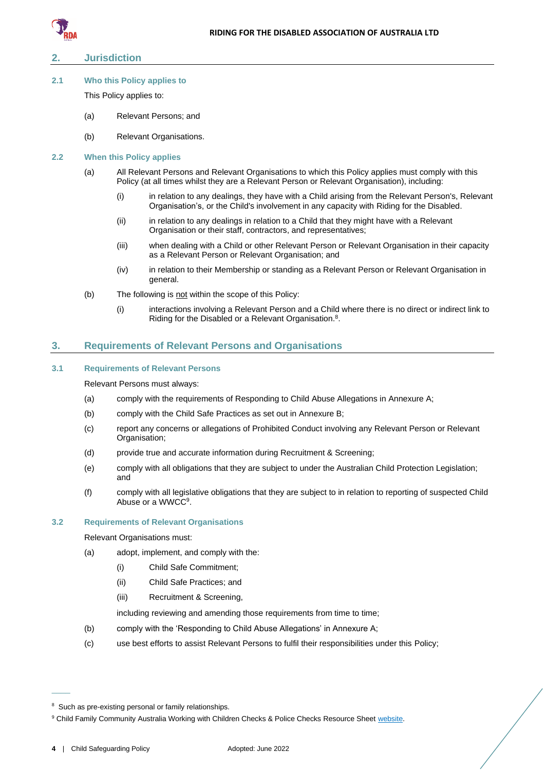

# <span id="page-4-0"></span>**2. Jurisdiction**

#### <span id="page-4-1"></span>**2.1 Who this Policy applies to**

This Policy applies to:

- (a) Relevant Persons; and
- (b) Relevant Organisations.

#### <span id="page-4-2"></span>**2.2 When this Policy applies**

- (a) All Relevant Persons and Relevant Organisations to which this Policy applies must comply with this Policy (at all times whilst they are a Relevant Person or Relevant Organisation), including:
	- (i) in relation to any dealings, they have with a Child arising from the Relevant Person's, Relevant Organisation's, or the Child's involvement in any capacity with Riding for the Disabled.
	- (ii) in relation to any dealings in relation to a Child that they might have with a Relevant Organisation or their staff, contractors, and representatives;
	- (iii) when dealing with a Child or other Relevant Person or Relevant Organisation in their capacity as a Relevant Person or Relevant Organisation; and
	- (iv) in relation to their Membership or standing as a Relevant Person or Relevant Organisation in general.
- (b) The following is not within the scope of this Policy:
	- (i) interactions involving a Relevant Person and a Child where there is no direct or indirect link to Riding for the Disabled or a Relevant Organisation.<sup>8</sup>.

#### <span id="page-4-3"></span>**3. Requirements of Relevant Persons and Organisations**

## <span id="page-4-4"></span>**3.1 Requirements of Relevant Persons**

Relevant Persons must always:

- (a) comply with the requirements of Responding to Child Abuse Allegations in Annexure A;
- (b) comply with the Child Safe Practices as set out in Annexure B;
- (c) report any concerns or allegations of Prohibited Conduct involving any Relevant Person or Relevant Organisation;
- (d) provide true and accurate information during Recruitment & Screening;
- (e) comply with all obligations that they are subject to under the Australian Child Protection Legislation; and
- (f) comply with all legislative obligations that they are subject to in relation to reporting of suspected Child Abuse or a WWCC<sup>9</sup>.

#### <span id="page-4-6"></span><span id="page-4-5"></span>**3.2 Requirements of Relevant Organisations**

Relevant Organisations must:

- (a) adopt, implement, and comply with the:
	- (i) Child Safe Commitment;
	- (ii) Child Safe Practices; and
	- (iii) Recruitment & Screening,

including reviewing and amending those requirements from time to time;

- <span id="page-4-7"></span>(b) comply with the 'Responding to Child Abuse Allegations' in Annexure A;
- (c) use best efforts to assist Relevant Persons to fulfil their responsibilities under this Policy;

 $\overline{\phantom{a}}$ 

<sup>&</sup>lt;sup>8</sup> Such as pre-existing personal or family relationships.

<sup>&</sup>lt;sup>9</sup> Child Family Community Australia Working with Children Checks & Police Checks Resource Sheet [website.](https://aifs.gov.au/cfca/publications/pre-employment-screening-working-children-checks-and-police-checks/part-b-state-and)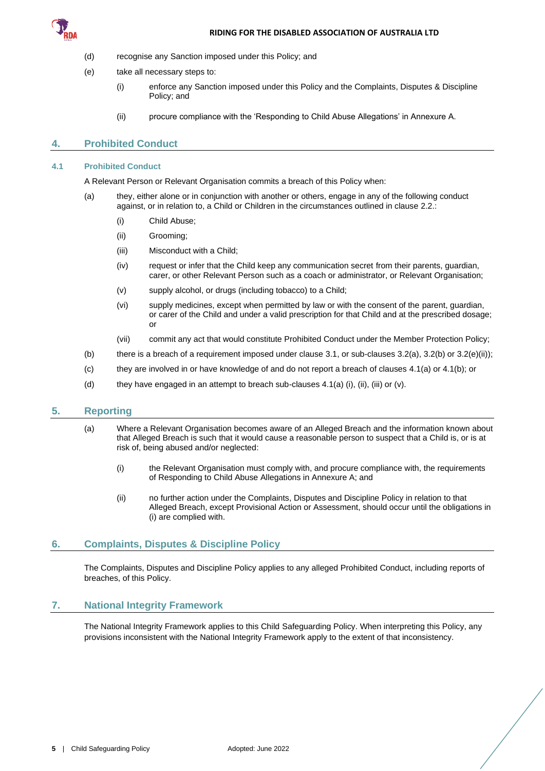

- (d) recognise any Sanction imposed under this Policy; and
- (e) take all necessary steps to:
	- (i) enforce any Sanction imposed under this Policy and the Complaints, Disputes & Discipline Policy; and
	- (ii) procure compliance with the 'Responding to Child Abuse Allegations' in Annexure A.

# <span id="page-5-5"></span><span id="page-5-0"></span>**4. Prohibited Conduct**

#### <span id="page-5-6"></span><span id="page-5-1"></span>**4.1 Prohibited Conduct**

A Relevant Person or Relevant Organisation commits a breach of this Policy when:

- (a) they, either alone or in conjunction with another or others, engage in any of the following conduct against, or in relation to, a Child or Children in the circumstances outlined in clause [2.2.:](#page-4-2)
	- (i) Child Abuse;
	- (ii) Grooming;
	- (iii) Misconduct with a Child;
	- (iv) request or infer that the Child keep any communication secret from their parents, guardian, carer, or other Relevant Person such as a coach or administrator, or Relevant Organisation;
	- (v) supply alcohol, or drugs (including tobacco) to a Child;
	- (vi) supply medicines, except when permitted by law or with the consent of the parent, guardian, or carer of the Child and under a valid prescription for that Child and at the prescribed dosage; or
	- (vii) commit any act that would constitute Prohibited Conduct under the Member Protection Policy;
- <span id="page-5-7"></span>(b) there is a breach of a requirement imposed under claus[e 3.1,](#page-4-4) or sub-clauses  $3.2(a)$ ,  $3.2(b)$  or  $3.2(e)(ii)$ ;
- (c) they are involved in or have knowledge of and do not report a breach of clauses [4.1\(a\)](#page-5-6) or [4.1\(b\);](#page-5-7) or
- (d) they have engaged in an attempt to breach sub-clauses  $4.1(a)$  (i), (iii), (iii) or (v).

# <span id="page-5-2"></span>**5. Reporting**

- (a) Where a Relevant Organisation becomes aware of an Alleged Breach and the information known about that Alleged Breach is such that it would cause a reasonable person to suspect that a Child is, or is at risk of, being abused and/or neglected:
	- (i) the Relevant Organisation must comply with, and procure compliance with, the requirements of Responding to Child Abuse Allegations in Annexure A; and
	- (ii) no further action under the Complaints, Disputes and Discipline Policy in relation to that Alleged Breach, except Provisional Action or Assessment, should occur until the obligations in (i) are complied with.

# <span id="page-5-3"></span>**6. Complaints, Disputes & Discipline Policy**

The Complaints, Disputes and Discipline Policy applies to any alleged Prohibited Conduct, including reports of breaches, of this Policy.

# <span id="page-5-4"></span>**7. National Integrity Framework**

The National Integrity Framework applies to this Child Safeguarding Policy. When interpreting this Policy, any provisions inconsistent with the National Integrity Framework apply to the extent of that inconsistency.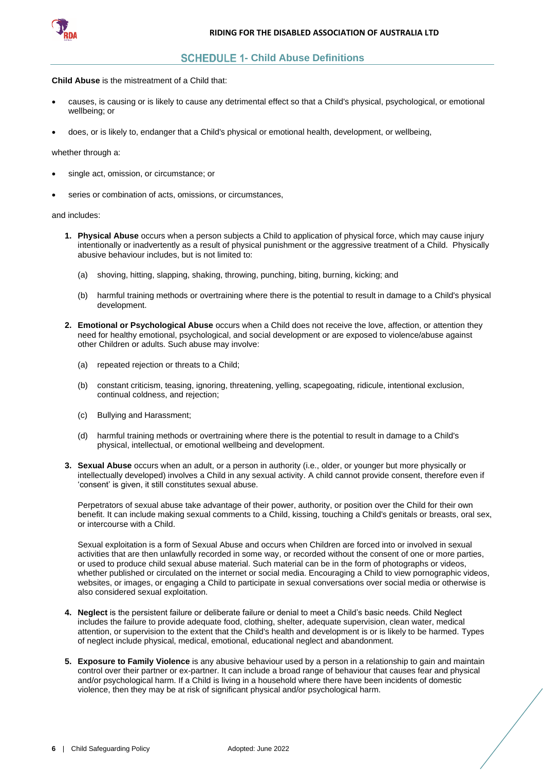

# **SCHEDULE 1- Child Abuse Definitions**

<span id="page-6-0"></span>**Child Abuse** is the mistreatment of a Child that:

- causes, is causing or is likely to cause any detrimental effect so that a Child's physical, psychological, or emotional wellbeing; or
- does, or is likely to, endanger that a Child's physical or emotional health, development, or wellbeing,

#### whether through a:

- single act, omission, or circumstance; or
- series or combination of acts, omissions, or circumstances,

and includes:

- **1. Physical Abuse** occurs when a person subjects a Child to application of physical force, which may cause injury intentionally or inadvertently as a result of physical punishment or the aggressive treatment of a Child. Physically abusive behaviour includes, but is not limited to:
	- (a) shoving, hitting, slapping, shaking, throwing, punching, biting, burning, kicking; and
	- (b) harmful training methods or overtraining where there is the potential to result in damage to a Child's physical development.
- **2. Emotional or Psychological Abuse** occurs when a Child does not receive the love, affection, or attention they need for healthy emotional, psychological, and social development or are exposed to violence/abuse against other Children or adults. Such abuse may involve:
	- (a) repeated rejection or threats to a Child;
	- (b) constant criticism, teasing, ignoring, threatening, yelling, scapegoating, ridicule, intentional exclusion, continual coldness, and rejection;
	- (c) Bullying and Harassment;
	- (d) harmful training methods or overtraining where there is the potential to result in damage to a Child's physical, intellectual, or emotional wellbeing and development.
- **3. Sexual Abuse** occurs when an adult, or a person in authority (i.e., older, or younger but more physically or intellectually developed) involves a Child in any sexual activity. A child cannot provide consent, therefore even if 'consent' is given, it still constitutes sexual abuse.

Perpetrators of sexual abuse take advantage of their power, authority, or position over the Child for their own benefit. It can include making sexual comments to a Child, kissing, touching a Child's genitals or breasts, oral sex, or intercourse with a Child.

Sexual exploitation is a form of Sexual Abuse and occurs when Children are forced into or involved in sexual activities that are then unlawfully recorded in some way, or recorded without the consent of one or more parties, or used to produce child sexual abuse material. Such material can be in the form of photographs or videos, whether published or circulated on the internet or social media. Encouraging a Child to view pornographic videos, websites, or images, or engaging a Child to participate in sexual conversations over social media or otherwise is also considered sexual exploitation.

- **4. Neglect** is the persistent failure or deliberate failure or denial to meet a Child's basic needs. Child Neglect includes the failure to provide adequate food, clothing, shelter, adequate supervision, clean water, medical attention, or supervision to the extent that the Child's health and development is or is likely to be harmed. Types of neglect include physical, medical, emotional, educational neglect and abandonment.
- **5. Exposure to Family Violence** is any abusive behaviour used by a person in a relationship to gain and maintain control over their partner or ex-partner. It can include a broad range of behaviour that causes fear and physical and/or psychological harm. If a Child is living in a household where there have been incidents of domestic violence, then they may be at risk of significant physical and/or psychological harm.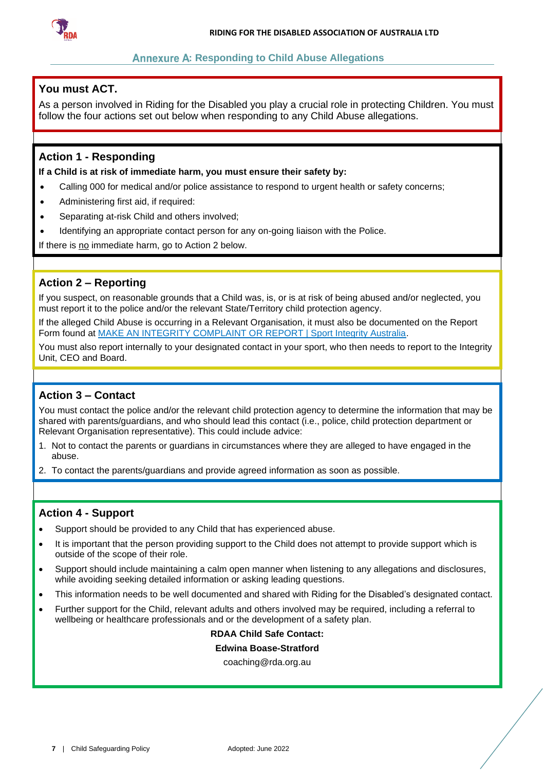

# **Annexure A: Responding to Child Abuse Allegations**

# <span id="page-7-0"></span>**You must ACT.**

As a person involved in Riding for the Disabled you play a crucial role in protecting Children. You must follow the four actions set out below when responding to any Child Abuse allegations.

# **Action 1 - Responding**

**If a Child is at risk of immediate harm, you must ensure their safety by:**

- Calling 000 for medical and/or police assistance to respond to urgent health or safety concerns;
- Administering first aid, if required:
- Separating at-risk Child and others involved;
- Identifying an appropriate contact person for any on-going liaison with the Police.

If there is no immediate harm, go to Action 2 below.

# **Action 2 – Reporting**

If you suspect, on reasonable grounds that a Child was, is, or is at risk of being abused and/or neglected, you must report it to the police and/or the relevant State/Territory child protection agency.

If the alleged Child Abuse is occurring in a Relevant Organisation, it must also be documented on the Report Form found at [MAKE AN INTEGRITY COMPLAINT OR REPORT | Sport Integrity Australia.](https://www.sportintegrity.gov.au/contact-us/make-an-integrity-complaint-or-report)

You must also report internally to your designated contact in your sport, who then needs to report to the Integrity Unit, CEO and Board.

# **Action 3 – Contact**

You must contact the police and/or the relevant child protection agency to determine the information that may be shared with parents/guardians, and who should lead this contact (i.e., police, child protection department or Relevant Organisation representative). This could include advice:

- 1. Not to contact the parents or guardians in circumstances where they are alleged to have engaged in the abuse.
- 2. To contact the parents/guardians and provide agreed information as soon as possible.

# **Action 4 - Support**

- Support should be provided to any Child that has experienced abuse.
- It is important that the person providing support to the Child does not attempt to provide support which is outside of the scope of their role.
- Support should include maintaining a calm open manner when listening to any allegations and disclosures, while avoiding seeking detailed information or asking leading questions.
- This information needs to be well documented and shared with Riding for the Disabled's designated contact.
- Further support for the Child, relevant adults and others involved may be required, including a referral to wellbeing or healthcare professionals and or the development of a safety plan.

# **RDAA Child Safe Contact:**

# **Edwina Boase-Stratford**

coaching@rda.org.au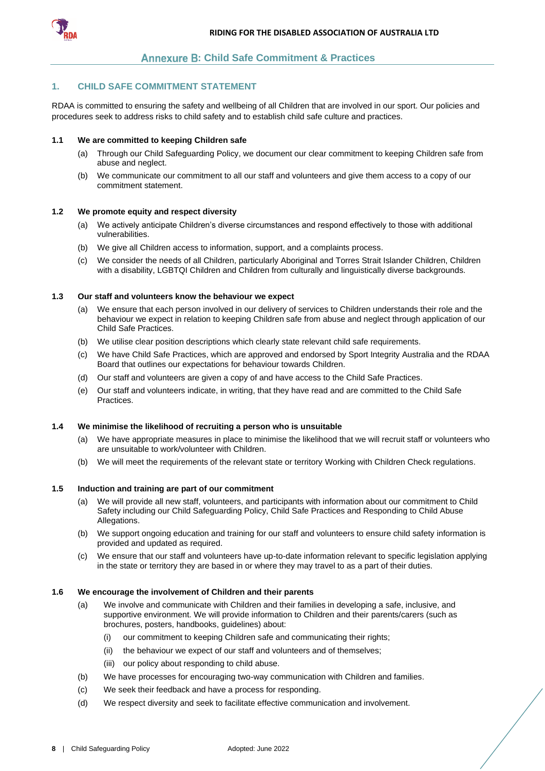

# **Annexure B: Child Safe Commitment & Practices**

#### <span id="page-8-0"></span>**1. CHILD SAFE COMMITMENT STATEMENT**

RDAA is committed to ensuring the safety and wellbeing of all Children that are involved in our sport. Our policies and procedures seek to address risks to child safety and to establish child safe culture and practices.

#### **1.1 We are committed to keeping Children safe**

- (a) Through our Child Safeguarding Policy, we document our clear commitment to keeping Children safe from abuse and neglect.
- (b) We communicate our commitment to all our staff and volunteers and give them access to a copy of our commitment statement.

#### **1.2 We promote equity and respect diversity**

- (a) We actively anticipate Children's diverse circumstances and respond effectively to those with additional vulnerabilities.
- (b) We give all Children access to information, support, and a complaints process.
- (c) We consider the needs of all Children, particularly Aboriginal and Torres Strait Islander Children, Children with a disability, LGBTQI Children and Children from culturally and linguistically diverse backgrounds.

### **1.3 Our staff and volunteers know the behaviour we expect**

- (a) We ensure that each person involved in our delivery of services to Children understands their role and the behaviour we expect in relation to keeping Children safe from abuse and neglect through application of our Child Safe Practices.
- (b) We utilise clear position descriptions which clearly state relevant child safe requirements.
- (c) We have Child Safe Practices, which are approved and endorsed by Sport Integrity Australia and the RDAA Board that outlines our expectations for behaviour towards Children.
- (d) Our staff and volunteers are given a copy of and have access to the Child Safe Practices.
- (e) Our staff and volunteers indicate, in writing, that they have read and are committed to the Child Safe Practices.

#### **1.4 We minimise the likelihood of recruiting a person who is unsuitable**

- (a) We have appropriate measures in place to minimise the likelihood that we will recruit staff or volunteers who are unsuitable to work/volunteer with Children.
- (b) We will meet the requirements of the relevant state or territory Working with Children Check regulations.

#### **1.5 Induction and training are part of our commitment**

- (a) We will provide all new staff, volunteers, and participants with information about our commitment to Child Safety including our Child Safeguarding Policy, Child Safe Practices and Responding to Child Abuse Allegations.
- (b) We support ongoing education and training for our staff and volunteers to ensure child safety information is provided and updated as required.
- (c) We ensure that our staff and volunteers have up-to-date information relevant to specific legislation applying in the state or territory they are based in or where they may travel to as a part of their duties.

#### **1.6 We encourage the involvement of Children and their parents**

- (a) We involve and communicate with Children and their families in developing a safe, inclusive, and supportive environment. We will provide information to Children and their parents/carers (such as brochures, posters, handbooks, guidelines) about:
	- (i) our commitment to keeping Children safe and communicating their rights;
	- (ii) the behaviour we expect of our staff and volunteers and of themselves;
	- (iii) our policy about responding to child abuse.
- (b) We have processes for encouraging two-way communication with Children and families.
- (c) We seek their feedback and have a process for responding.
- (d) We respect diversity and seek to facilitate effective communication and involvement.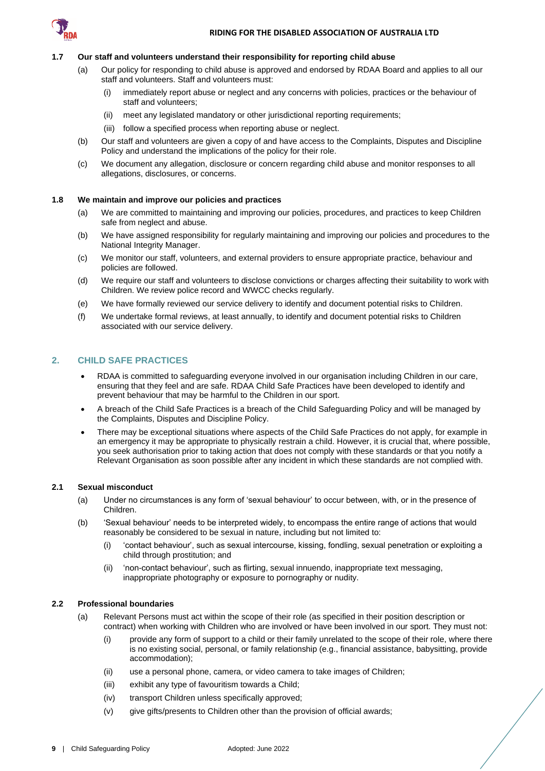

#### **1.7 Our staff and volunteers understand their responsibility for reporting child abuse**

- (a) Our policy for responding to child abuse is approved and endorsed by RDAA Board and applies to all our staff and volunteers. Staff and volunteers must:
	- (i) immediately report abuse or neglect and any concerns with policies, practices or the behaviour of staff and volunteers;
	- (ii) meet any legislated mandatory or other jurisdictional reporting requirements;
	- (iii) follow a specified process when reporting abuse or neglect.
- (b) Our staff and volunteers are given a copy of and have access to the Complaints, Disputes and Discipline Policy and understand the implications of the policy for their role.
- (c) We document any allegation, disclosure or concern regarding child abuse and monitor responses to all allegations, disclosures, or concerns.

#### **1.8 We maintain and improve our policies and practices**

- (a) We are committed to maintaining and improving our policies, procedures, and practices to keep Children safe from neglect and abuse.
- (b) We have assigned responsibility for regularly maintaining and improving our policies and procedures to the National Integrity Manager.
- (c) We monitor our staff, volunteers, and external providers to ensure appropriate practice, behaviour and policies are followed.
- (d) We require our staff and volunteers to disclose convictions or charges affecting their suitability to work with Children. We review police record and WWCC checks regularly.
- (e) We have formally reviewed our service delivery to identify and document potential risks to Children.
- (f) We undertake formal reviews, at least annually, to identify and document potential risks to Children associated with our service delivery.

#### **2. CHILD SAFE PRACTICES**

- RDAA is committed to safeguarding everyone involved in our organisation including Children in our care, ensuring that they feel and are safe. RDAA Child Safe Practices have been developed to identify and prevent behaviour that may be harmful to the Children in our sport.
- A breach of the Child Safe Practices is a breach of the Child Safeguarding Policy and will be managed by the Complaints, Disputes and Discipline Policy.
- There may be exceptional situations where aspects of the Child Safe Practices do not apply, for example in an emergency it may be appropriate to physically restrain a child. However, it is crucial that, where possible, you seek authorisation prior to taking action that does not comply with these standards or that you notify a Relevant Organisation as soon possible after any incident in which these standards are not complied with.

#### **2.1 Sexual misconduct**

- (a) Under no circumstances is any form of 'sexual behaviour' to occur between, with, or in the presence of Children.
- (b) 'Sexual behaviour' needs to be interpreted widely, to encompass the entire range of actions that would reasonably be considered to be sexual in nature, including but not limited to:
	- (i) 'contact behaviour', such as sexual intercourse, kissing, fondling, sexual penetration or exploiting a child through prostitution; and
	- (ii) 'non-contact behaviour', such as flirting, sexual innuendo, inappropriate text messaging, inappropriate photography or exposure to pornography or nudity.

#### **2.2 Professional boundaries**

- (a) Relevant Persons must act within the scope of their role (as specified in their position description or contract) when working with Children who are involved or have been involved in our sport. They must not:
	- (i) provide any form of support to a child or their family unrelated to the scope of their role, where there is no existing social, personal, or family relationship (e.g., financial assistance, babysitting, provide accommodation);
	- (ii) use a personal phone, camera, or video camera to take images of Children;
	- (iii) exhibit any type of favouritism towards a Child;
	- (iv) transport Children unless specifically approved;
	- (v) give gifts/presents to Children other than the provision of official awards;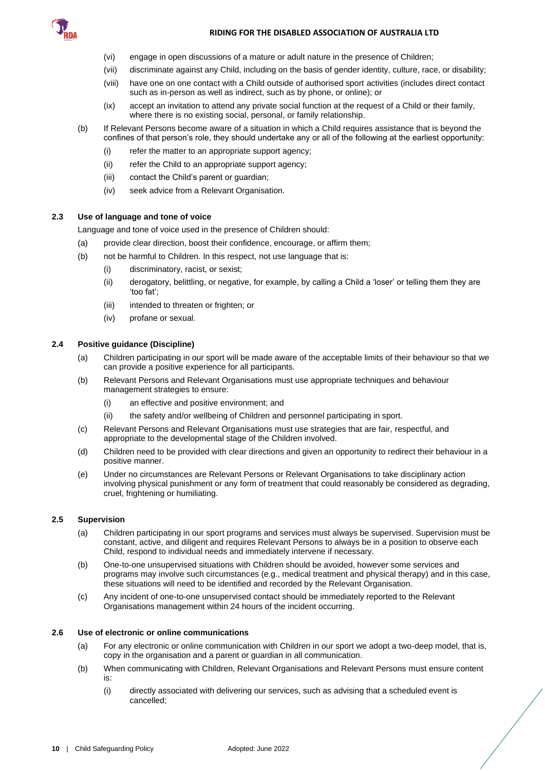

#### **RIDING FOR THE DISABLED ASSOCIATION OF AUSTRALIA LTD**

- (vi) engage in open discussions of a mature or adult nature in the presence of Children;
- (vii) discriminate against any Child, including on the basis of gender identity, culture, race, or disability;
- (viii) have one on one contact with a Child outside of authorised sport activities (includes direct contact such as in-person as well as indirect, such as by phone, or online); or
- (ix) accept an invitation to attend any private social function at the request of a Child or their family, where there is no existing social, personal, or family relationship.
- (b) If Relevant Persons become aware of a situation in which a Child requires assistance that is beyond the confines of that person's role, they should undertake any or all of the following at the earliest opportunity:
	- (i) refer the matter to an appropriate support agency;
	- (ii) refer the Child to an appropriate support agency;
	- (iii) contact the Child's parent or guardian;
	- (iv) seek advice from a Relevant Organisation.

## **2.3 Use of language and tone of voice**

Language and tone of voice used in the presence of Children should:

- (a) provide clear direction, boost their confidence, encourage, or affirm them;
- (b) not be harmful to Children. In this respect, not use language that is:
	- (i) discriminatory, racist, or sexist;
	- (ii) derogatory, belittling, or negative, for example, by calling a Child a 'loser' or telling them they are 'too fat';
	- (iii) intended to threaten or frighten; or
	- (iv) profane or sexual.

## **2.4 Positive guidance (Discipline)**

- (a) Children participating in our sport will be made aware of the acceptable limits of their behaviour so that we can provide a positive experience for all participants.
- (b) Relevant Persons and Relevant Organisations must use appropriate techniques and behaviour management strategies to ensure:
	- (i) an effective and positive environment; and
	- (ii) the safety and/or wellbeing of Children and personnel participating in sport.
- (c) Relevant Persons and Relevant Organisations must use strategies that are fair, respectful, and appropriate to the developmental stage of the Children involved.
- (d) Children need to be provided with clear directions and given an opportunity to redirect their behaviour in a positive manner.
- (e) Under no circumstances are Relevant Persons or Relevant Organisations to take disciplinary action involving physical punishment or any form of treatment that could reasonably be considered as degrading, cruel, frightening or humiliating.

# **2.5 Supervision**

- (a) Children participating in our sport programs and services must always be supervised. Supervision must be constant, active, and diligent and requires Relevant Persons to always be in a position to observe each Child, respond to individual needs and immediately intervene if necessary.
- (b) One-to-one unsupervised situations with Children should be avoided, however some services and programs may involve such circumstances (e.g., medical treatment and physical therapy) and in this case, these situations will need to be identified and recorded by the Relevant Organisation.
- (c) Any incident of one-to-one unsupervised contact should be immediately reported to the Relevant Organisations management within 24 hours of the incident occurring.

#### **2.6 Use of electronic or online communications**

- (a) For any electronic or online communication with Children in our sport we adopt a two-deep model, that is, copy in the organisation and a parent or guardian in all communication.
- (b) When communicating with Children, Relevant Organisations and Relevant Persons must ensure content is:
	- (i) directly associated with delivering our services, such as advising that a scheduled event is cancelled;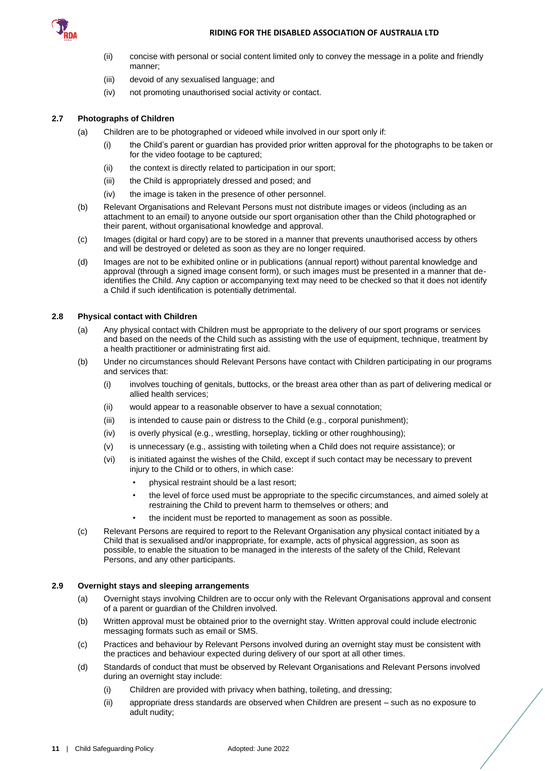

#### **RIDING FOR THE DISABLED ASSOCIATION OF AUSTRALIA LTD**

- (ii) concise with personal or social content limited only to convey the message in a polite and friendly manner;
- (iii) devoid of any sexualised language; and
- (iv) not promoting unauthorised social activity or contact.

# **2.7 Photographs of Children**

- (a) Children are to be photographed or videoed while involved in our sport only if:
	- (i) the Child's parent or guardian has provided prior written approval for the photographs to be taken or for the video footage to be captured;
	- (ii) the context is directly related to participation in our sport;
	- (iii) the Child is appropriately dressed and posed; and
	- (iv) the image is taken in the presence of other personnel.
- (b) Relevant Organisations and Relevant Persons must not distribute images or videos (including as an attachment to an email) to anyone outside our sport organisation other than the Child photographed or their parent, without organisational knowledge and approval.
- (c) Images (digital or hard copy) are to be stored in a manner that prevents unauthorised access by others and will be destroyed or deleted as soon as they are no longer required.
- (d) Images are not to be exhibited online or in publications (annual report) without parental knowledge and approval (through a signed image consent form), or such images must be presented in a manner that deidentifies the Child. Any caption or accompanying text may need to be checked so that it does not identify a Child if such identification is potentially detrimental.

# **2.8 Physical contact with Children**

- (a) Any physical contact with Children must be appropriate to the delivery of our sport programs or services and based on the needs of the Child such as assisting with the use of equipment, technique, treatment by a health practitioner or administrating first aid.
- (b) Under no circumstances should Relevant Persons have contact with Children participating in our programs and services that:
	- (i) involves touching of genitals, buttocks, or the breast area other than as part of delivering medical or allied health services;
	- (ii) would appear to a reasonable observer to have a sexual connotation;
	- (iii) is intended to cause pain or distress to the Child (e.g., corporal punishment);
	- (iv) is overly physical (e.g., wrestling, horseplay, tickling or other roughhousing);
	- (v) is unnecessary (e.g., assisting with toileting when a Child does not require assistance); or
	- (vi) is initiated against the wishes of the Child, except if such contact may be necessary to prevent injury to the Child or to others, in which case:
		- physical restraint should be a last resort;
		- the level of force used must be appropriate to the specific circumstances, and aimed solely at restraining the Child to prevent harm to themselves or others; and
		- the incident must be reported to management as soon as possible.
- (c) Relevant Persons are required to report to the Relevant Organisation any physical contact initiated by a Child that is sexualised and/or inappropriate, for example, acts of physical aggression, as soon as possible, to enable the situation to be managed in the interests of the safety of the Child, Relevant Persons, and any other participants.

#### **2.9 Overnight stays and sleeping arrangements**

- (a) Overnight stays involving Children are to occur only with the Relevant Organisations approval and consent of a parent or guardian of the Children involved.
- (b) Written approval must be obtained prior to the overnight stay. Written approval could include electronic messaging formats such as email or SMS.
- (c) Practices and behaviour by Relevant Persons involved during an overnight stay must be consistent with the practices and behaviour expected during delivery of our sport at all other times.
- (d) Standards of conduct that must be observed by Relevant Organisations and Relevant Persons involved during an overnight stay include:
	- (i) Children are provided with privacy when bathing, toileting, and dressing;
	- (ii) appropriate dress standards are observed when Children are present such as no exposure to adult nudity;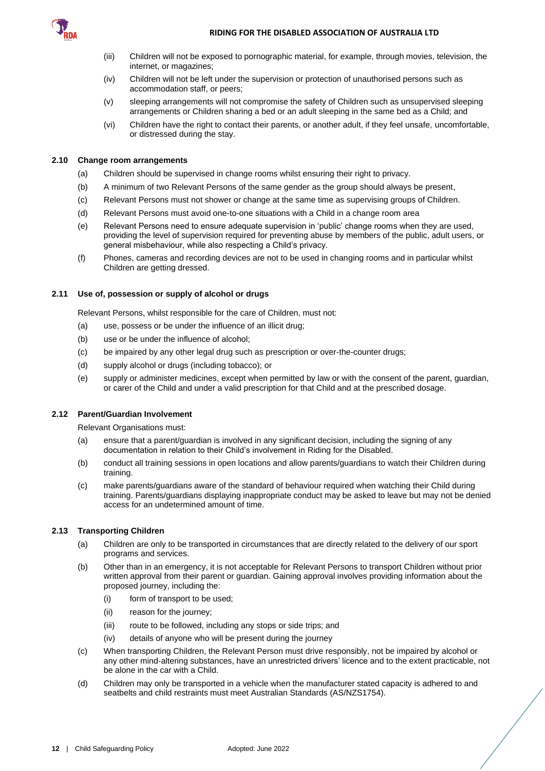

- (iii) Children will not be exposed to pornographic material, for example, through movies, television, the internet, or magazines;
- (iv) Children will not be left under the supervision or protection of unauthorised persons such as accommodation staff, or peers;
- (v) sleeping arrangements will not compromise the safety of Children such as unsupervised sleeping arrangements or Children sharing a bed or an adult sleeping in the same bed as a Child; and
- (vi) Children have the right to contact their parents, or another adult, if they feel unsafe, uncomfortable, or distressed during the stay.

# **2.10 Change room arrangements**

- (a) Children should be supervised in change rooms whilst ensuring their right to privacy.
- (b) A minimum of two Relevant Persons of the same gender as the group should always be present,
- (c) Relevant Persons must not shower or change at the same time as supervising groups of Children.
- (d) Relevant Persons must avoid one-to-one situations with a Child in a change room area
- (e) Relevant Persons need to ensure adequate supervision in 'public' change rooms when they are used, providing the level of supervision required for preventing abuse by members of the public, adult users, or general misbehaviour, while also respecting a Child's privacy.
- (f) Phones, cameras and recording devices are not to be used in changing rooms and in particular whilst Children are getting dressed.

# **2.11 Use of, possession or supply of alcohol or drugs**

Relevant Persons, whilst responsible for the care of Children, must not:

- (a) use, possess or be under the influence of an illicit drug;
- (b) use or be under the influence of alcohol;
- (c) be impaired by any other legal drug such as prescription or over-the-counter drugs;
- (d) supply alcohol or drugs (including tobacco); or
- (e) supply or administer medicines, except when permitted by law or with the consent of the parent, guardian, or carer of the Child and under a valid prescription for that Child and at the prescribed dosage.

# **2.12 Parent/Guardian Involvement**

Relevant Organisations must:

- (a) ensure that a parent/guardian is involved in any significant decision, including the signing of any documentation in relation to their Child's involvement in Riding for the Disabled.
- (b) conduct all training sessions in open locations and allow parents/guardians to watch their Children during training.
- (c) make parents/guardians aware of the standard of behaviour required when watching their Child during training. Parents/guardians displaying inappropriate conduct may be asked to leave but may not be denied access for an undetermined amount of time.

# **2.13 Transporting Children**

- (a) Children are only to be transported in circumstances that are directly related to the delivery of our sport programs and services.
- (b) Other than in an emergency, it is not acceptable for Relevant Persons to transport Children without prior written approval from their parent or guardian. Gaining approval involves providing information about the proposed journey, including the:
	- (i) form of transport to be used;
	- (ii) reason for the journey;
	- (iii) route to be followed, including any stops or side trips; and
	- (iv) details of anyone who will be present during the journey
- (c) When transporting Children, the Relevant Person must drive responsibly, not be impaired by alcohol or any other mind-altering substances, have an unrestricted drivers' licence and to the extent practicable, not be alone in the car with a Child.
- (d) Children may only be transported in a vehicle when the manufacturer stated capacity is adhered to and seatbelts and child restraints must meet Australian Standards (AS/NZS1754).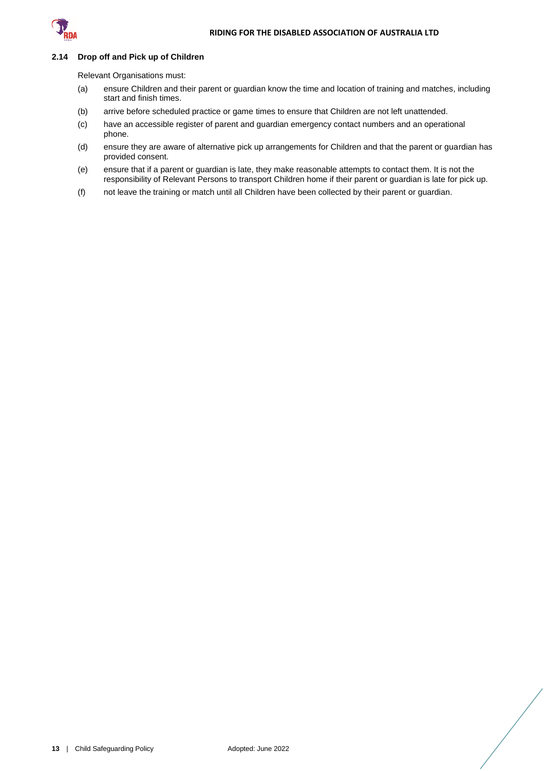

#### **2.14 Drop off and Pick up of Children**

Relevant Organisations must:

- (a) ensure Children and their parent or guardian know the time and location of training and matches, including start and finish times.
- (b) arrive before scheduled practice or game times to ensure that Children are not left unattended.
- (c) have an accessible register of parent and guardian emergency contact numbers and an operational phone.
- (d) ensure they are aware of alternative pick up arrangements for Children and that the parent or guardian has provided consent.
- (e) ensure that if a parent or guardian is late, they make reasonable attempts to contact them. It is not the responsibility of Relevant Persons to transport Children home if their parent or guardian is late for pick up.
- (f) not leave the training or match until all Children have been collected by their parent or guardian.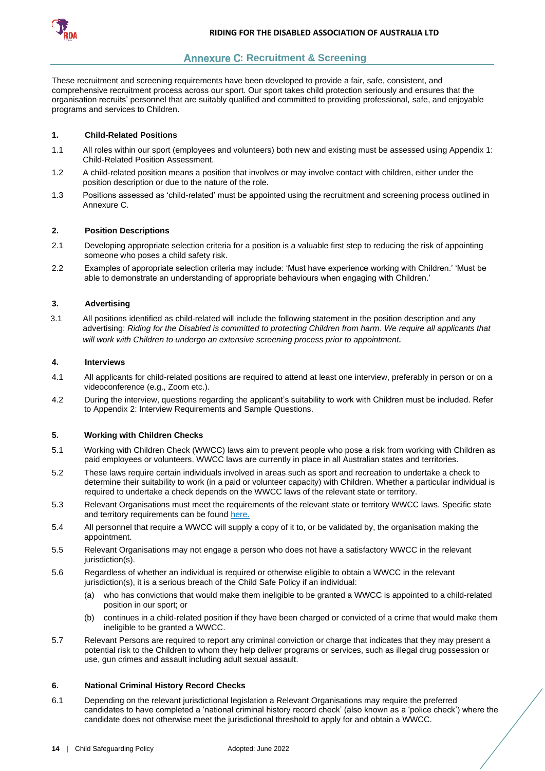

# **Annexure C: Recruitment & Screening**

<span id="page-14-0"></span>These recruitment and screening requirements have been developed to provide a fair, safe, consistent, and comprehensive recruitment process across our sport. Our sport takes child protection seriously and ensures that the organisation recruits' personnel that are suitably qualified and committed to providing professional, safe, and enjoyable programs and services to Children.

# **1. Child-Related Positions**

- 1.1 All roles within our sport (employees and volunteers) both new and existing must be assessed using Appendix 1: Child-Related Position Assessment.
- 1.2 A child-related position means a position that involves or may involve contact with children, either under the position description or due to the nature of the role.
- 1.3 Positions assessed as 'child-related' must be appointed using the recruitment and screening process outlined in Annexure C.

### **2. Position Descriptions**

- 2.1 Developing appropriate selection criteria for a position is a valuable first step to reducing the risk of appointing someone who poses a child safety risk.
- 2.2 Examples of appropriate selection criteria may include: 'Must have experience working with Children.' 'Must be able to demonstrate an understanding of appropriate behaviours when engaging with Children.'

#### **3. Advertising**

3.1 All positions identified as child-related will include the following statement in the position description and any advertising: *Riding for the Disabled is committed to protecting Children from harm. We require all applicants that will work with Children to undergo an extensive screening process prior to appointment.*

#### **4. Interviews**

- 4.1 All applicants for child-related positions are required to attend at least one interview, preferably in person or on a videoconference (e.g., Zoom etc.).
- 4.2 During the interview, questions regarding the applicant's suitability to work with Children must be included. Refer to Appendix 2: Interview Requirements and Sample Questions.

#### **5. Working with Children Checks**

- 5.1 Working with Children Check (WWCC) laws aim to prevent people who pose a risk from working with Children as paid employees or volunteers. WWCC laws are currently in place in all Australian states and territories.
- 5.2 These laws require certain individuals involved in areas such as sport and recreation to undertake a check to determine their suitability to work (in a paid or volunteer capacity) with Children. Whether a particular individual is required to undertake a check depends on the WWCC laws of the relevant state or territory.
- 5.3 Relevant Organisations must meet the requirements of the relevant state or territory WWCC laws. Specific state and territory requirements can be found [here.](https://aifs.gov.au/cfca/publications/pre-employment-screening-working-children-checks-and-police-checks/part-b-state-and)
- 5.4 All personnel that require a WWCC will supply a copy of it to, or be validated by, the organisation making the appointment.
- 5.5 Relevant Organisations may not engage a person who does not have a satisfactory WWCC in the relevant jurisdiction(s).
- 5.6 Regardless of whether an individual is required or otherwise eligible to obtain a WWCC in the relevant jurisdiction(s), it is a serious breach of the Child Safe Policy if an individual:
	- (a) who has convictions that would make them ineligible to be granted a WWCC is appointed to a child-related position in our sport; or
	- (b) continues in a child-related position if they have been charged or convicted of a crime that would make them ineligible to be granted a WWCC.
- 5.7 Relevant Persons are required to report any criminal conviction or charge that indicates that they may present a potential risk to the Children to whom they help deliver programs or services, such as illegal drug possession or use, gun crimes and assault including adult sexual assault.

#### **6. National Criminal History Record Checks**

6.1 Depending on the relevant jurisdictional legislation a Relevant Organisations may require the preferred candidates to have completed a 'national criminal history record check' (also known as a 'police check') where the candidate does not otherwise meet the jurisdictional threshold to apply for and obtain a WWCC.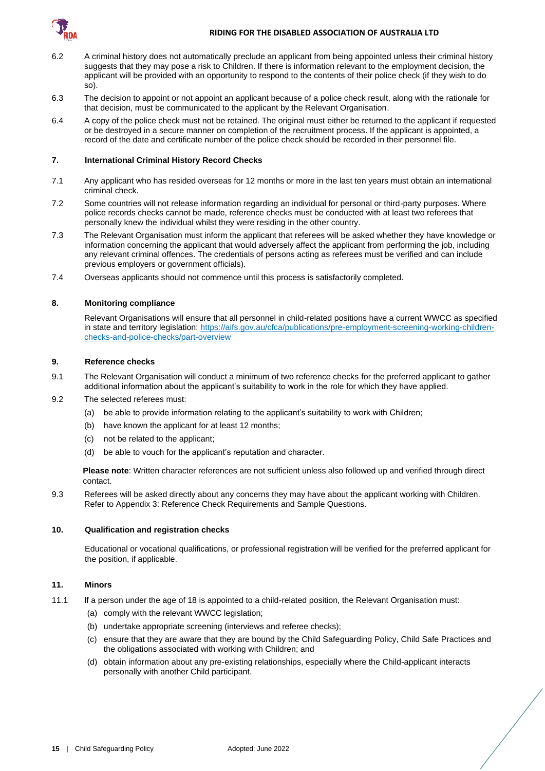

- 6.2 A criminal history does not automatically preclude an applicant from being appointed unless their criminal history suggests that they may pose a risk to Children. If there is information relevant to the employment decision, the applicant will be provided with an opportunity to respond to the contents of their police check (if they wish to do so).
- 6.3 The decision to appoint or not appoint an applicant because of a police check result, along with the rationale for that decision, must be communicated to the applicant by the Relevant Organisation.
- 6.4 A copy of the police check must not be retained. The original must either be returned to the applicant if requested or be destroyed in a secure manner on completion of the recruitment process. If the applicant is appointed, a record of the date and certificate number of the police check should be recorded in their personnel file.

## **7. International Criminal History Record Checks**

- 7.1 Any applicant who has resided overseas for 12 months or more in the last ten years must obtain an international criminal check.
- 7.2 Some countries will not release information regarding an individual for personal or third-party purposes. Where police records checks cannot be made, reference checks must be conducted with at least two referees that personally knew the individual whilst they were residing in the other country.
- 7.3 The Relevant Organisation must inform the applicant that referees will be asked whether they have knowledge or information concerning the applicant that would adversely affect the applicant from performing the job, including any relevant criminal offences. The credentials of persons acting as referees must be verified and can include previous employers or government officials).
- 7.4 Overseas applicants should not commence until this process is satisfactorily completed.

#### **8. Monitoring compliance**

Relevant Organisations will ensure that all personnel in child-related positions have a current WWCC as specified in state and territory legislation: [https://aifs.gov.au/cfca/publications/pre-employment-screening-working-children](https://aifs.gov.au/cfca/publications/pre-employment-screening-working-children-checks-and-police-checks/part-overview)[checks-and-police-checks/part-overview](https://aifs.gov.au/cfca/publications/pre-employment-screening-working-children-checks-and-police-checks/part-overview)

#### **9. Reference checks**

- 9.1 The Relevant Organisation will conduct a minimum of two reference checks for the preferred applicant to gather additional information about the applicant's suitability to work in the role for which they have applied.
- 9.2 The selected referees must:
	- (a) be able to provide information relating to the applicant's suitability to work with Children;
	- (b) have known the applicant for at least 12 months;
	- (c) not be related to the applicant;
	- (d) be able to vouch for the applicant's reputation and character.

**Please note**: Written character references are not sufficient unless also followed up and verified through direct contact.

9.3 Referees will be asked directly about any concerns they may have about the applicant working with Children. Refer to Appendix 3: Reference Check Requirements and Sample Questions.

#### **10. Qualification and registration checks**

Educational or vocational qualifications, or professional registration will be verified for the preferred applicant for the position, if applicable.

#### **11. Minors**

- 11.1 If a person under the age of 18 is appointed to a child-related position, the Relevant Organisation must:
	- (a) comply with the relevant WWCC legislation;
	- (b) undertake appropriate screening (interviews and referee checks);
	- (c) ensure that they are aware that they are bound by the Child Safeguarding Policy, Child Safe Practices and the obligations associated with working with Children; and
	- (d) obtain information about any pre-existing relationships, especially where the Child-applicant interacts personally with another Child participant.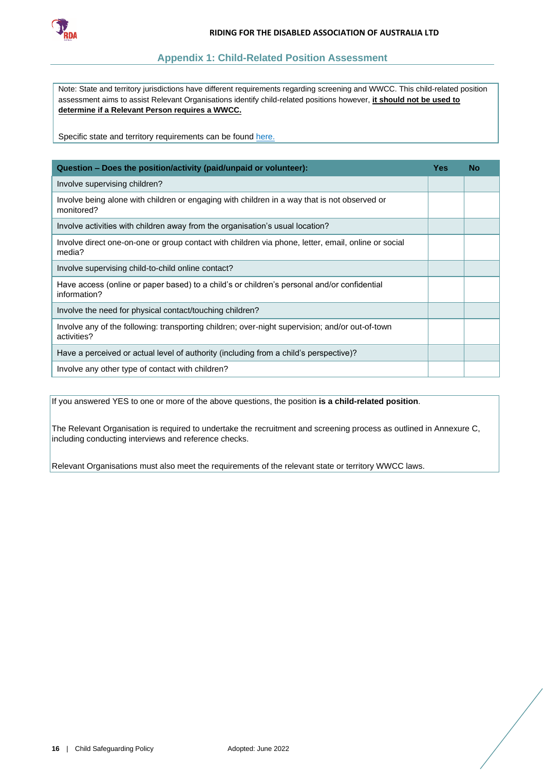

# **Appendix 1: Child-Related Position Assessment**

<span id="page-16-0"></span>Note: State and territory jurisdictions have different requirements regarding screening and WWCC. This child-related position assessment aims to assist Relevant Organisations identify child-related positions however, **it should not be used to determine if a Relevant Person requires a WWCC.**

Specific state and territory requirements can be found [here.](https://aifs.gov.au/cfca/publications/pre-employment-screening-working-children-checks-and-police-checks/part-b-state-and)

| Question - Does the position/activity (paid/unpaid or volunteer):                                              |  | <b>No</b> |
|----------------------------------------------------------------------------------------------------------------|--|-----------|
| Involve supervising children?                                                                                  |  |           |
| Involve being alone with children or engaging with children in a way that is not observed or<br>monitored?     |  |           |
| Involve activities with children away from the organisation's usual location?                                  |  |           |
| Involve direct one-on-one or group contact with children via phone, letter, email, online or social<br>media?  |  |           |
| Involve supervising child-to-child online contact?                                                             |  |           |
| Have access (online or paper based) to a child's or children's personal and/or confidential<br>information?    |  |           |
| Involve the need for physical contact/touching children?                                                       |  |           |
| Involve any of the following: transporting children; over-night supervision; and/or out-of-town<br>activities? |  |           |
| Have a perceived or actual level of authority (including from a child's perspective)?                          |  |           |
| Involve any other type of contact with children?                                                               |  |           |

If you answered YES to one or more of the above questions, the position **is a child-related position**.

The Relevant Organisation is required to undertake the recruitment and screening process as outlined in Annexure C, including conducting interviews and reference checks.

Relevant Organisations must also meet the requirements of the relevant state or territory WWCC laws.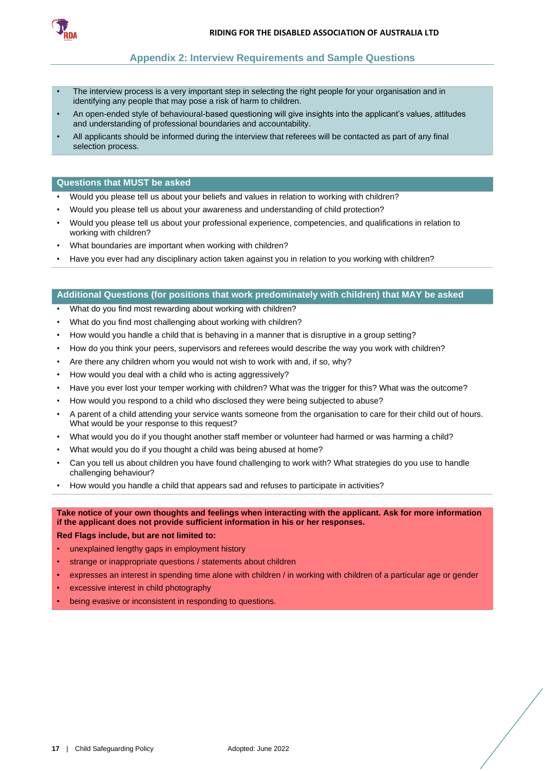<span id="page-17-0"></span>

# **Appendix 2: Interview Requirements and Sample Questions**

- The interview process is a very important step in selecting the right people for your organisation and in identifying any people that may pose a risk of harm to children.
- An open-ended style of behavioural-based questioning will give insights into the applicant's values, attitudes and understanding of professional boundaries and accountability.
- All applicants should be informed during the interview that referees will be contacted as part of any final selection process.

#### **Questions that MUST be asked**

- Would you please tell us about your beliefs and values in relation to working with children?
- Would you please tell us about your awareness and understanding of child protection?
- Would you please tell us about your professional experience, competencies, and qualifications in relation to working with children?
- What boundaries are important when working with children?
- Have you ever had any disciplinary action taken against you in relation to you working with children?

### **Additional Questions (for positions that work predominately with children) that MAY be asked**

- What do you find most rewarding about working with children?
- What do you find most challenging about working with children?
- How would you handle a child that is behaving in a manner that is disruptive in a group setting?
- How do you think your peers, supervisors and referees would describe the way you work with children?
- Are there any children whom you would not wish to work with and, if so, why?
- How would you deal with a child who is acting aggressively?
- Have you ever lost your temper working with children? What was the trigger for this? What was the outcome?
- How would you respond to a child who disclosed they were being subjected to abuse?
- A parent of a child attending your service wants someone from the organisation to care for their child out of hours. What would be your response to this request?
- What would you do if you thought another staff member or volunteer had harmed or was harming a child?
- What would you do if you thought a child was being abused at home?
- Can you tell us about children you have found challenging to work with? What strategies do you use to handle challenging behaviour?
- How would you handle a child that appears sad and refuses to participate in activities?

# **Take notice of your own thoughts and feelings when interacting with the applicant. Ask for more information if the applicant does not provide sufficient information in his or her responses.**

**Red Flags include, but are not limited to:**

- unexplained lengthy gaps in employment history
- strange or inappropriate questions / statements about children
- expresses an interest in spending time alone with children / in working with children of a particular age or gender
- excessive interest in child photography
- being evasive or inconsistent in responding to questions.